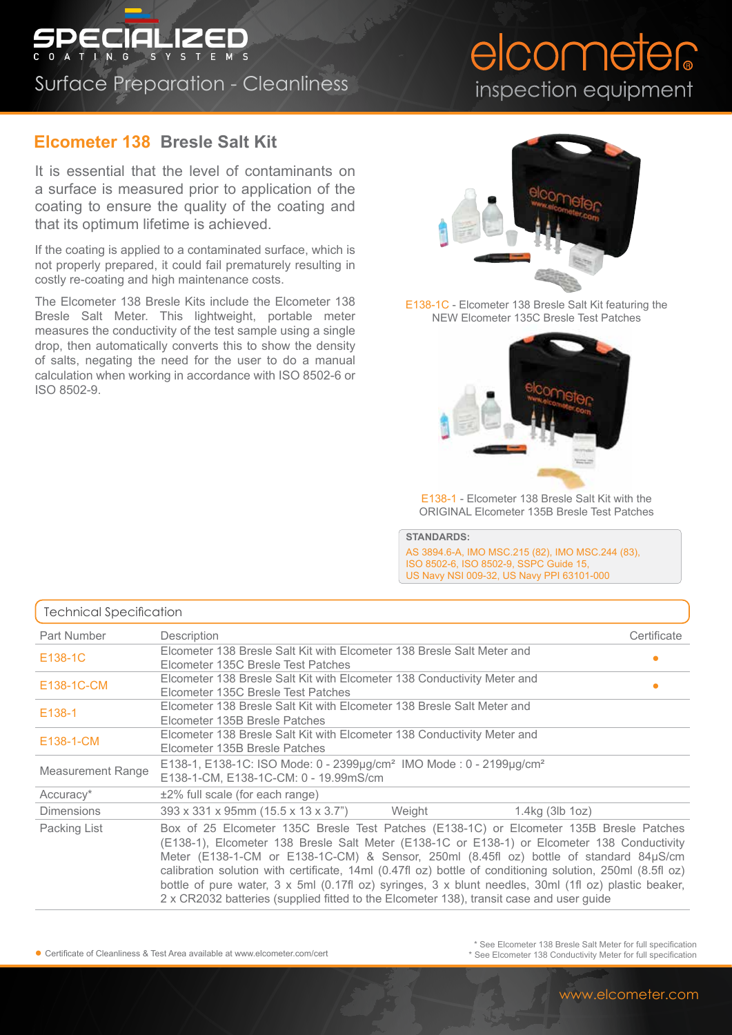## SPECIALIZED Surface Preparation - Cleanliness

## **Elcometer 138 Bresle Salt Kit**

It is essential that the level of contaminants on a surface is measured prior to application of the coating to ensure the quality of the coating and that its optimum lifetime is achieved.

If the coating is applied to a contaminated surface, which is not properly prepared, it could fail prematurely resulting in costly re-coating and high maintenance costs.

The Elcometer 138 Bresle Kits include the Elcometer 138 Bresle Salt Meter. This lightweight, portable meter measures the conductivity of the test sample using a single drop, then automatically converts this to show the density of salts, negating the need for the user to do a manual calculation when working in accordance with ISO 8502-6 or ISO 8502-9.

## elcometer inspection equipment



E138-1C - Elcometer 138 Bresle Salt Kit featuring the NEW Elcometer 135C Bresle Test Patches



E138-1 - Elcometer 138 Bresle Salt Kit with the ORIGINAL Elcometer 135B Bresle Test Patches

**STANDARDS:** AS 3894.6-A, IMO MSC.215 (82), IMO MSC.244 (83), ISO 8502-6, ISO 8502-9, SSPC Guide 15, US Navy NSI 009-32, US Navy PPI 63101-000

| <b>Technical Specification</b> |                                                                                                                                                                                                                                                                                                                                                                                                                                                                                                                                                                                                   |             |
|--------------------------------|---------------------------------------------------------------------------------------------------------------------------------------------------------------------------------------------------------------------------------------------------------------------------------------------------------------------------------------------------------------------------------------------------------------------------------------------------------------------------------------------------------------------------------------------------------------------------------------------------|-------------|
| Part Number                    | Description                                                                                                                                                                                                                                                                                                                                                                                                                                                                                                                                                                                       | Certificate |
| E138-1C                        | Elcometer 138 Bresle Salt Kit with Elcometer 138 Bresle Salt Meter and<br>Elcometer 135C Bresle Test Patches                                                                                                                                                                                                                                                                                                                                                                                                                                                                                      | ٠           |
| E138-1C-CM                     | Elcometer 138 Bresle Salt Kit with Elcometer 138 Conductivity Meter and<br>Elcometer 135C Bresle Test Patches                                                                                                                                                                                                                                                                                                                                                                                                                                                                                     | $\bullet$   |
| E138-1                         | Elcometer 138 Bresle Salt Kit with Elcometer 138 Bresle Salt Meter and<br>Elcometer 135B Bresle Patches                                                                                                                                                                                                                                                                                                                                                                                                                                                                                           |             |
| E138-1-CM                      | Elcometer 138 Bresle Salt Kit with Elcometer 138 Conductivity Meter and<br>Elcometer 135B Bresle Patches                                                                                                                                                                                                                                                                                                                                                                                                                                                                                          |             |
| <b>Measurement Range</b>       | E138-1, E138-1C: ISO Mode: 0 - 2399µg/cm <sup>2</sup> IMO Mode: 0 - 2199µg/cm <sup>2</sup><br>E138-1-CM, E138-1C-CM: 0 - 19.99mS/cm                                                                                                                                                                                                                                                                                                                                                                                                                                                               |             |
| Accuracy*                      | $±2\%$ full scale (for each range)                                                                                                                                                                                                                                                                                                                                                                                                                                                                                                                                                                |             |
| <b>Dimensions</b>              | 393 x 331 x 95mm (15.5 x 13 x 3.7")<br>1.4kg (3lb 1oz)<br>Weight                                                                                                                                                                                                                                                                                                                                                                                                                                                                                                                                  |             |
| Packing List                   | Box of 25 Elcometer 135C Bresle Test Patches (E138-1C) or Elcometer 135B Bresle Patches<br>(E138-1), Elcometer 138 Bresle Salt Meter (E138-1C or E138-1) or Elcometer 138 Conductivity<br>Meter (E138-1-CM or E138-1C-CM) & Sensor, 250ml (8.45fl oz) bottle of standard 84µS/cm<br>calibration solution with certificate, 14ml (0.47fl oz) bottle of conditioning solution, 250ml (8.5fl oz)<br>bottle of pure water, 3 x 5ml (0.17fl oz) syringes, 3 x blunt needles, 30ml (1fl oz) plastic beaker,<br>2 x CR2032 batteries (supplied fitted to the Elcometer 138), transit case and user guide |             |

● Certificate of Cleanliness & Test Area available at www.elcometer.com/cert

\* See Elcometer 138 Bresle Salt Meter for full specification \* See Elcometer 138 Conductivity Meter for full specification